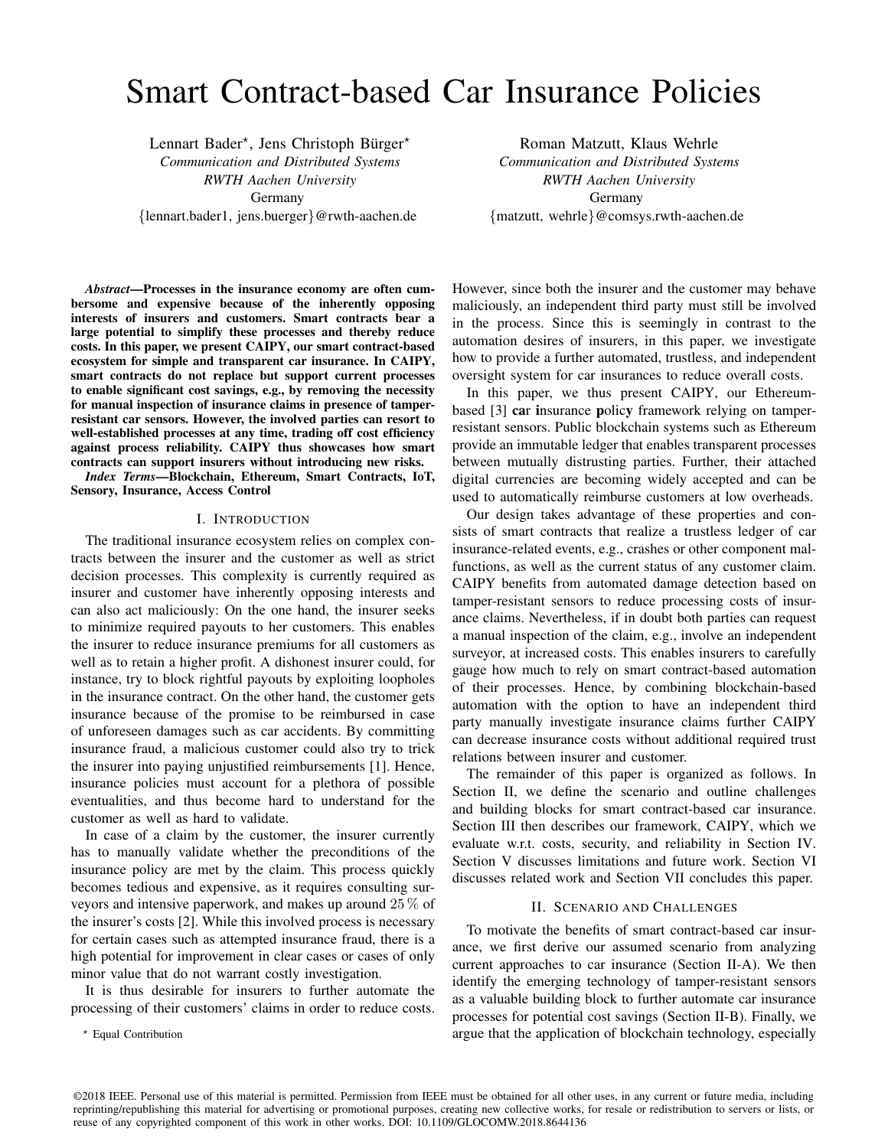# Smart Contract-based Car Insurance Policies

Lennart Bader\*, Jens Christoph Bürger\* *Communication and Distributed Systems RWTH Aachen University* Germany {lennart.bader1, jens.buerger}@rwth-aachen.de

Roman Matzutt, Klaus Wehrle *Communication and Distributed Systems RWTH Aachen University* Germany {matzutt, wehrle}@comsys.rwth-aachen.de

*Abstract*—Processes in the insurance economy are often cumbersome and expensive because of the inherently opposing interests of insurers and customers. Smart contracts bear a large potential to simplify these processes and thereby reduce costs. In this paper, we present CAIPY, our smart contract-based ecosystem for simple and transparent car insurance. In CAIPY, smart contracts do not replace but support current processes to enable significant cost savings, e.g., by removing the necessity for manual inspection of insurance claims in presence of tamperresistant car sensors. However, the involved parties can resort to well-established processes at any time, trading off cost efficiency against process reliability. CAIPY thus showcases how smart contracts can support insurers without introducing new risks.

*Index Terms*—Blockchain, Ethereum, Smart Contracts, IoT, Sensory, Insurance, Access Control

#### I. INTRODUCTION

The traditional insurance ecosystem relies on complex contracts between the insurer and the customer as well as strict decision processes. This complexity is currently required as insurer and customer have inherently opposing interests and can also act maliciously: On the one hand, the insurer seeks to minimize required payouts to her customers. This enables the insurer to reduce insurance premiums for all customers as well as to retain a higher profit. A dishonest insurer could, for instance, try to block rightful payouts by exploiting loopholes in the insurance contract. On the other hand, the customer gets insurance because of the promise to be reimbursed in case of unforeseen damages such as car accidents. By committing insurance fraud, a malicious customer could also try to trick the insurer into paying unjustified reimbursements [1]. Hence, insurance policies must account for a plethora of possible eventualities, and thus become hard to understand for the customer as well as hard to validate.

In case of a claim by the customer, the insurer currently has to manually validate whether the preconditions of the insurance policy are met by the claim. This process quickly becomes tedious and expensive, as it requires consulting surveyors and intensive paperwork, and makes up around 25 % of the insurer's costs [2]. While this involved process is necessary for certain cases such as attempted insurance fraud, there is a high potential for improvement in clear cases or cases of only minor value that do not warrant costly investigation.

It is thus desirable for insurers to further automate the processing of their customers' claims in order to reduce costs.

<sup>⋆</sup> Equal Contribution

However, since both the insurer and the customer may behave maliciously, an independent third party must still be involved in the process. Since this is seemingly in contrast to the automation desires of insurers, in this paper, we investigate how to provide a further automated, trustless, and independent oversight system for car insurances to reduce overall costs.

In this paper, we thus present CAIPY, our Ethereumbased [3] car insurance policy framework relying on tamperresistant sensors. Public blockchain systems such as Ethereum provide an immutable ledger that enables transparent processes between mutually distrusting parties. Further, their attached digital currencies are becoming widely accepted and can be used to automatically reimburse customers at low overheads.

Our design takes advantage of these properties and consists of smart contracts that realize a trustless ledger of car insurance-related events, e.g., crashes or other component malfunctions, as well as the current status of any customer claim. CAIPY benefits from automated damage detection based on tamper-resistant sensors to reduce processing costs of insurance claims. Nevertheless, if in doubt both parties can request a manual inspection of the claim, e.g., involve an independent surveyor, at increased costs. This enables insurers to carefully gauge how much to rely on smart contract-based automation of their processes. Hence, by combining blockchain-based automation with the option to have an independent third party manually investigate insurance claims further CAIPY can decrease insurance costs without additional required trust relations between insurer and customer.

The remainder of this paper is organized as follows. In Section II, we define the scenario and outline challenges and building blocks for smart contract-based car insurance. Section III then describes our framework, CAIPY, which we evaluate w.r.t. costs, security, and reliability in Section IV. Section V discusses limitations and future work. Section VI discusses related work and Section VII concludes this paper.

# II. SCENARIO AND CHALLENGES

To motivate the benefits of smart contract-based car insurance, we first derive our assumed scenario from analyzing current approaches to car insurance (Section II-A). We then identify the emerging technology of tamper-resistant sensors as a valuable building block to further automate car insurance processes for potential cost savings (Section II-B). Finally, we argue that the application of blockchain technology, especially

<sup>©2018</sup> IEEE. Personal use of this material is permitted. Permission from IEEE must be obtained for all other uses, in any current or future media, including reprinting/republishing this material for advertising or promotional purposes, creating new collective works, for resale or redistribution to servers or lists, or reuse of any copyrighted component of this work in other works. DOI: 10.1109/GLOCOMW.2018.8644136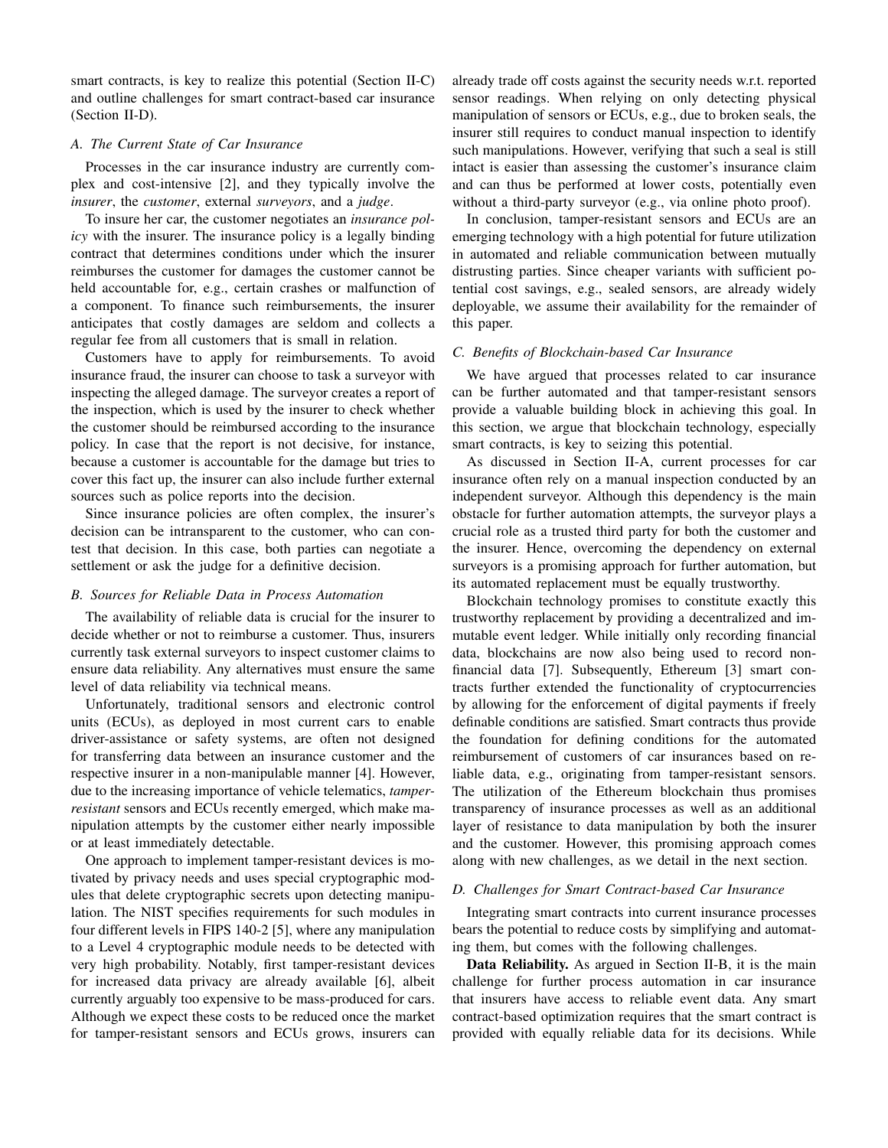smart contracts, is key to realize this potential (Section II-C) and outline challenges for smart contract-based car insurance (Section II-D).

# *A. The Current State of Car Insurance*

Processes in the car insurance industry are currently complex and cost-intensive [2], and they typically involve the *insurer*, the *customer*, external *surveyors*, and a *judge*.

To insure her car, the customer negotiates an *insurance policy* with the insurer. The insurance policy is a legally binding contract that determines conditions under which the insurer reimburses the customer for damages the customer cannot be held accountable for, e.g., certain crashes or malfunction of a component. To finance such reimbursements, the insurer anticipates that costly damages are seldom and collects a regular fee from all customers that is small in relation.

Customers have to apply for reimbursements. To avoid insurance fraud, the insurer can choose to task a surveyor with inspecting the alleged damage. The surveyor creates a report of the inspection, which is used by the insurer to check whether the customer should be reimbursed according to the insurance policy. In case that the report is not decisive, for instance, because a customer is accountable for the damage but tries to cover this fact up, the insurer can also include further external sources such as police reports into the decision.

Since insurance policies are often complex, the insurer's decision can be intransparent to the customer, who can contest that decision. In this case, both parties can negotiate a settlement or ask the judge for a definitive decision.

# *B. Sources for Reliable Data in Process Automation*

The availability of reliable data is crucial for the insurer to decide whether or not to reimburse a customer. Thus, insurers currently task external surveyors to inspect customer claims to ensure data reliability. Any alternatives must ensure the same level of data reliability via technical means.

Unfortunately, traditional sensors and electronic control units (ECUs), as deployed in most current cars to enable driver-assistance or safety systems, are often not designed for transferring data between an insurance customer and the respective insurer in a non-manipulable manner [4]. However, due to the increasing importance of vehicle telematics, *tamperresistant* sensors and ECUs recently emerged, which make manipulation attempts by the customer either nearly impossible or at least immediately detectable.

One approach to implement tamper-resistant devices is motivated by privacy needs and uses special cryptographic modules that delete cryptographic secrets upon detecting manipulation. The NIST specifies requirements for such modules in four different levels in FIPS 140-2 [5], where any manipulation to a Level 4 cryptographic module needs to be detected with very high probability. Notably, first tamper-resistant devices for increased data privacy are already available [6], albeit currently arguably too expensive to be mass-produced for cars. Although we expect these costs to be reduced once the market for tamper-resistant sensors and ECUs grows, insurers can already trade off costs against the security needs w.r.t. reported sensor readings. When relying on only detecting physical manipulation of sensors or ECUs, e.g., due to broken seals, the insurer still requires to conduct manual inspection to identify such manipulations. However, verifying that such a seal is still intact is easier than assessing the customer's insurance claim and can thus be performed at lower costs, potentially even without a third-party surveyor (e.g., via online photo proof).

In conclusion, tamper-resistant sensors and ECUs are an emerging technology with a high potential for future utilization in automated and reliable communication between mutually distrusting parties. Since cheaper variants with sufficient potential cost savings, e.g., sealed sensors, are already widely deployable, we assume their availability for the remainder of this paper.

# *C. Benefits of Blockchain-based Car Insurance*

We have argued that processes related to car insurance can be further automated and that tamper-resistant sensors provide a valuable building block in achieving this goal. In this section, we argue that blockchain technology, especially smart contracts, is key to seizing this potential.

As discussed in Section II-A, current processes for car insurance often rely on a manual inspection conducted by an independent surveyor. Although this dependency is the main obstacle for further automation attempts, the surveyor plays a crucial role as a trusted third party for both the customer and the insurer. Hence, overcoming the dependency on external surveyors is a promising approach for further automation, but its automated replacement must be equally trustworthy.

Blockchain technology promises to constitute exactly this trustworthy replacement by providing a decentralized and immutable event ledger. While initially only recording financial data, blockchains are now also being used to record nonfinancial data [7]. Subsequently, Ethereum [3] smart contracts further extended the functionality of cryptocurrencies by allowing for the enforcement of digital payments if freely definable conditions are satisfied. Smart contracts thus provide the foundation for defining conditions for the automated reimbursement of customers of car insurances based on reliable data, e.g., originating from tamper-resistant sensors. The utilization of the Ethereum blockchain thus promises transparency of insurance processes as well as an additional layer of resistance to data manipulation by both the insurer and the customer. However, this promising approach comes along with new challenges, as we detail in the next section.

#### *D. Challenges for Smart Contract-based Car Insurance*

Integrating smart contracts into current insurance processes bears the potential to reduce costs by simplifying and automating them, but comes with the following challenges.

Data Reliability. As argued in Section II-B, it is the main challenge for further process automation in car insurance that insurers have access to reliable event data. Any smart contract-based optimization requires that the smart contract is provided with equally reliable data for its decisions. While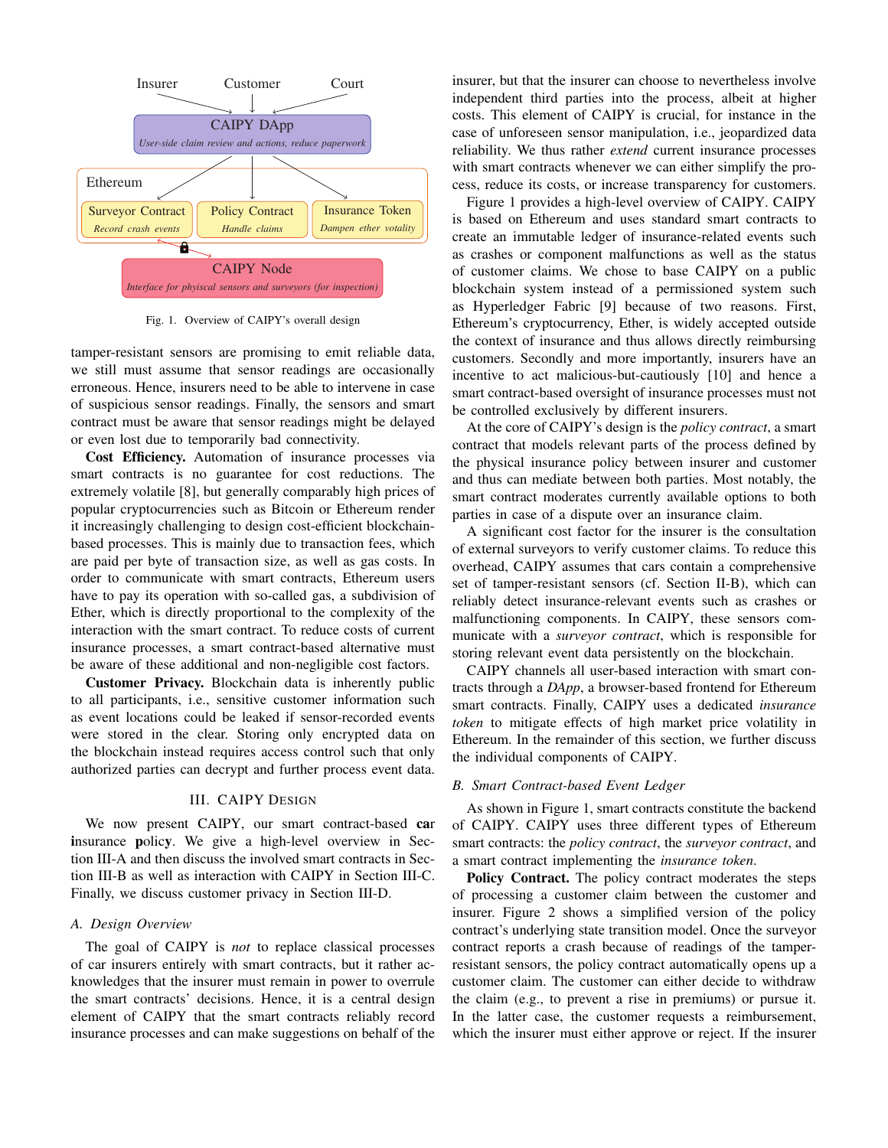

Fig. 1. Overview of CAIPY's overall design

tamper-resistant sensors are promising to emit reliable data, we still must assume that sensor readings are occasionally erroneous. Hence, insurers need to be able to intervene in case of suspicious sensor readings. Finally, the sensors and smart contract must be aware that sensor readings might be delayed or even lost due to temporarily bad connectivity.

Cost Efficiency. Automation of insurance processes via smart contracts is no guarantee for cost reductions. The extremely volatile [8], but generally comparably high prices of popular cryptocurrencies such as Bitcoin or Ethereum render it increasingly challenging to design cost-efficient blockchainbased processes. This is mainly due to transaction fees, which are paid per byte of transaction size, as well as gas costs. In order to communicate with smart contracts, Ethereum users have to pay its operation with so-called gas, a subdivision of Ether, which is directly proportional to the complexity of the interaction with the smart contract. To reduce costs of current insurance processes, a smart contract-based alternative must be aware of these additional and non-negligible cost factors.

Customer Privacy. Blockchain data is inherently public to all participants, i.e., sensitive customer information such as event locations could be leaked if sensor-recorded events were stored in the clear. Storing only encrypted data on the blockchain instead requires access control such that only authorized parties can decrypt and further process event data.

# III. CAIPY DESIGN

We now present CAIPY, our smart contract-based car insurance policy. We give a high-level overview in Section III-A and then discuss the involved smart contracts in Section III-B as well as interaction with CAIPY in Section III-C. Finally, we discuss customer privacy in Section III-D.

#### *A. Design Overview*

The goal of CAIPY is *not* to replace classical processes of car insurers entirely with smart contracts, but it rather acknowledges that the insurer must remain in power to overrule the smart contracts' decisions. Hence, it is a central design element of CAIPY that the smart contracts reliably record insurance processes and can make suggestions on behalf of the insurer, but that the insurer can choose to nevertheless involve independent third parties into the process, albeit at higher costs. This element of CAIPY is crucial, for instance in the case of unforeseen sensor manipulation, i.e., jeopardized data reliability. We thus rather *extend* current insurance processes with smart contracts whenever we can either simplify the process, reduce its costs, or increase transparency for customers.

Figure 1 provides a high-level overview of CAIPY. CAIPY is based on Ethereum and uses standard smart contracts to create an immutable ledger of insurance-related events such as crashes or component malfunctions as well as the status of customer claims. We chose to base CAIPY on a public blockchain system instead of a permissioned system such as Hyperledger Fabric [9] because of two reasons. First, Ethereum's cryptocurrency, Ether, is widely accepted outside the context of insurance and thus allows directly reimbursing customers. Secondly and more importantly, insurers have an incentive to act malicious-but-cautiously [10] and hence a smart contract-based oversight of insurance processes must not be controlled exclusively by different insurers.

At the core of CAIPY's design is the *policy contract*, a smart contract that models relevant parts of the process defined by the physical insurance policy between insurer and customer and thus can mediate between both parties. Most notably, the smart contract moderates currently available options to both parties in case of a dispute over an insurance claim.

A significant cost factor for the insurer is the consultation of external surveyors to verify customer claims. To reduce this overhead, CAIPY assumes that cars contain a comprehensive set of tamper-resistant sensors (cf. Section II-B), which can reliably detect insurance-relevant events such as crashes or malfunctioning components. In CAIPY, these sensors communicate with a *surveyor contract*, which is responsible for storing relevant event data persistently on the blockchain.

CAIPY channels all user-based interaction with smart contracts through a *DApp*, a browser-based frontend for Ethereum smart contracts. Finally, CAIPY uses a dedicated *insurance token* to mitigate effects of high market price volatility in Ethereum. In the remainder of this section, we further discuss the individual components of CAIPY.

#### *B. Smart Contract-based Event Ledger*

As shown in Figure 1, smart contracts constitute the backend of CAIPY. CAIPY uses three different types of Ethereum smart contracts: the *policy contract*, the *surveyor contract*, and a smart contract implementing the *insurance token*.

Policy Contract. The policy contract moderates the steps of processing a customer claim between the customer and insurer. Figure 2 shows a simplified version of the policy contract's underlying state transition model. Once the surveyor contract reports a crash because of readings of the tamperresistant sensors, the policy contract automatically opens up a customer claim. The customer can either decide to withdraw the claim (e.g., to prevent a rise in premiums) or pursue it. In the latter case, the customer requests a reimbursement, which the insurer must either approve or reject. If the insurer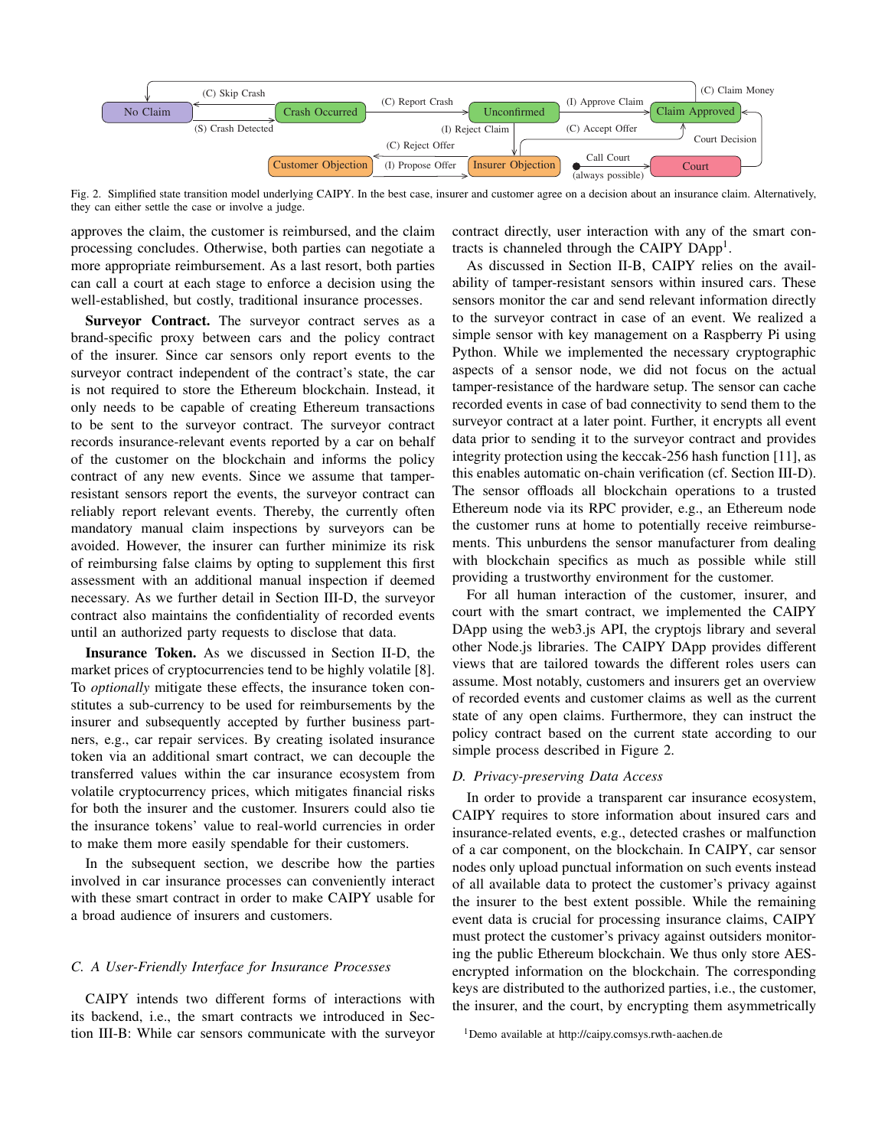

Fig. 2. Simplified state transition model underlying CAIPY. In the best case, insurer and customer agree on a decision about an insurance claim. Alternatively, they can either settle the case or involve a judge.

approves the claim, the customer is reimbursed, and the claim processing concludes. Otherwise, both parties can negotiate a more appropriate reimbursement. As a last resort, both parties can call a court at each stage to enforce a decision using the well-established, but costly, traditional insurance processes.

Surveyor Contract. The surveyor contract serves as a brand-specific proxy between cars and the policy contract of the insurer. Since car sensors only report events to the surveyor contract independent of the contract's state, the car is not required to store the Ethereum blockchain. Instead, it only needs to be capable of creating Ethereum transactions to be sent to the surveyor contract. The surveyor contract records insurance-relevant events reported by a car on behalf of the customer on the blockchain and informs the policy contract of any new events. Since we assume that tamperresistant sensors report the events, the surveyor contract can reliably report relevant events. Thereby, the currently often mandatory manual claim inspections by surveyors can be avoided. However, the insurer can further minimize its risk of reimbursing false claims by opting to supplement this first assessment with an additional manual inspection if deemed necessary. As we further detail in Section III-D, the surveyor contract also maintains the confidentiality of recorded events until an authorized party requests to disclose that data.

Insurance Token. As we discussed in Section II-D, the market prices of cryptocurrencies tend to be highly volatile [8]. To *optionally* mitigate these effects, the insurance token constitutes a sub-currency to be used for reimbursements by the insurer and subsequently accepted by further business partners, e.g., car repair services. By creating isolated insurance token via an additional smart contract, we can decouple the transferred values within the car insurance ecosystem from volatile cryptocurrency prices, which mitigates financial risks for both the insurer and the customer. Insurers could also tie the insurance tokens' value to real-world currencies in order to make them more easily spendable for their customers.

In the subsequent section, we describe how the parties involved in car insurance processes can conveniently interact with these smart contract in order to make CAIPY usable for a broad audience of insurers and customers.

#### *C. A User-Friendly Interface for Insurance Processes*

CAIPY intends two different forms of interactions with its backend, i.e., the smart contracts we introduced in Section III-B: While car sensors communicate with the surveyor contract directly, user interaction with any of the smart contracts is channeled through the CAIPY DApp<sup>1</sup>.

As discussed in Section II-B, CAIPY relies on the availability of tamper-resistant sensors within insured cars. These sensors monitor the car and send relevant information directly to the surveyor contract in case of an event. We realized a simple sensor with key management on a Raspberry Pi using Python. While we implemented the necessary cryptographic aspects of a sensor node, we did not focus on the actual tamper-resistance of the hardware setup. The sensor can cache recorded events in case of bad connectivity to send them to the surveyor contract at a later point. Further, it encrypts all event data prior to sending it to the surveyor contract and provides integrity protection using the keccak-256 hash function [11], as this enables automatic on-chain verification (cf. Section III-D). The sensor offloads all blockchain operations to a trusted Ethereum node via its RPC provider, e.g., an Ethereum node the customer runs at home to potentially receive reimbursements. This unburdens the sensor manufacturer from dealing with blockchain specifics as much as possible while still providing a trustworthy environment for the customer.

For all human interaction of the customer, insurer, and court with the smart contract, we implemented the CAIPY DApp using the web3.js API, the cryptojs library and several other Node.js libraries. The CAIPY DApp provides different views that are tailored towards the different roles users can assume. Most notably, customers and insurers get an overview of recorded events and customer claims as well as the current state of any open claims. Furthermore, they can instruct the policy contract based on the current state according to our simple process described in Figure 2.

#### *D. Privacy-preserving Data Access*

In order to provide a transparent car insurance ecosystem, CAIPY requires to store information about insured cars and insurance-related events, e.g., detected crashes or malfunction of a car component, on the blockchain. In CAIPY, car sensor nodes only upload punctual information on such events instead of all available data to protect the customer's privacy against the insurer to the best extent possible. While the remaining event data is crucial for processing insurance claims, CAIPY must protect the customer's privacy against outsiders monitoring the public Ethereum blockchain. We thus only store AESencrypted information on the blockchain. The corresponding keys are distributed to the authorized parties, i.e., the customer, the insurer, and the court, by encrypting them asymmetrically

<sup>1</sup>Demo available at http://caipy.comsys.rwth-aachen.de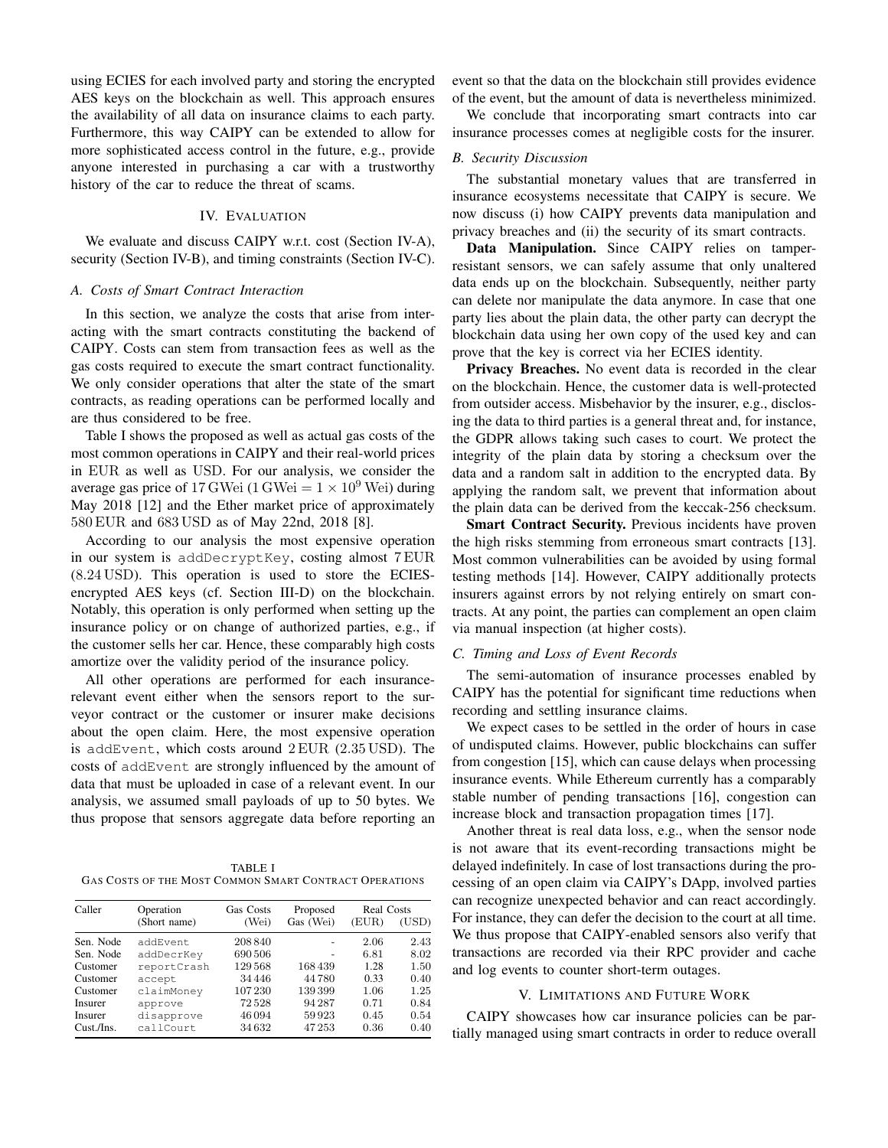using ECIES for each involved party and storing the encrypted AES keys on the blockchain as well. This approach ensures the availability of all data on insurance claims to each party. Furthermore, this way CAIPY can be extended to allow for more sophisticated access control in the future, e.g., provide anyone interested in purchasing a car with a trustworthy history of the car to reduce the threat of scams.

# IV. EVALUATION

We evaluate and discuss CAIPY w.r.t. cost (Section IV-A), security (Section IV-B), and timing constraints (Section IV-C).

#### *A. Costs of Smart Contract Interaction*

In this section, we analyze the costs that arise from interacting with the smart contracts constituting the backend of CAIPY. Costs can stem from transaction fees as well as the gas costs required to execute the smart contract functionality. We only consider operations that alter the state of the smart contracts, as reading operations can be performed locally and are thus considered to be free.

Table I shows the proposed as well as actual gas costs of the most common operations in CAIPY and their real-world prices in EUR as well as USD. For our analysis, we consider the average gas price of 17 GWei (1 GWei  $= 1 \times 10^9$  Wei) during May 2018 [12] and the Ether market price of approximately 580 EUR and 683 USD as of May 22nd, 2018 [8].

According to our analysis the most expensive operation in our system is addDecryptKey, costing almost 7 EUR (8.24 USD). This operation is used to store the ECIESencrypted AES keys (cf. Section III-D) on the blockchain. Notably, this operation is only performed when setting up the insurance policy or on change of authorized parties, e.g., if the customer sells her car. Hence, these comparably high costs amortize over the validity period of the insurance policy.

All other operations are performed for each insurancerelevant event either when the sensors report to the surveyor contract or the customer or insurer make decisions about the open claim. Here, the most expensive operation is addEvent, which costs around 2 EUR (2.35 USD). The costs of addEvent are strongly influenced by the amount of data that must be uploaded in case of a relevant event. In our analysis, we assumed small payloads of up to 50 bytes. We thus propose that sensors aggregate data before reporting an

TABLE I GAS COSTS OF THE MOST COMMON SMART CONTRACT OPERATIONS

| Caller     | Operation<br>(Short name) | Gas Costs<br>(Wei) | Proposed<br>Gas (Wei) | Real Costs |       |
|------------|---------------------------|--------------------|-----------------------|------------|-------|
|            |                           |                    |                       | (EUR)      | (USD) |
| Sen. Node  | addEvent                  | 208 840            |                       | 2.06       | 2.43  |
| Sen. Node  | addDecrKey                | 690 506            |                       | 6.81       | 8.02  |
| Customer   | reportCrash               | 129568             | 168439                | 1.28       | 1.50  |
| Customer   | accept                    | 34 4 4 6           | 44780                 | 0.33       | 0.40  |
| Customer   | claimMoney                | 107 230            | 139399                | 1.06       | 1.25  |
| Insurer    | approve                   | 72528              | 94 287                | 0.71       | 0.84  |
| Insurer    | disapprove                | 46 0 94            | 59923                 | 0.45       | 0.54  |
| Cust./Ins. | callCourt                 | 34 632             | 47253                 | 0.36       | 0.40  |

event so that the data on the blockchain still provides evidence of the event, but the amount of data is nevertheless minimized.

We conclude that incorporating smart contracts into car insurance processes comes at negligible costs for the insurer.

# *B. Security Discussion*

The substantial monetary values that are transferred in insurance ecosystems necessitate that CAIPY is secure. We now discuss (i) how CAIPY prevents data manipulation and privacy breaches and (ii) the security of its smart contracts.

Data Manipulation. Since CAIPY relies on tamperresistant sensors, we can safely assume that only unaltered data ends up on the blockchain. Subsequently, neither party can delete nor manipulate the data anymore. In case that one party lies about the plain data, the other party can decrypt the blockchain data using her own copy of the used key and can prove that the key is correct via her ECIES identity.

Privacy Breaches. No event data is recorded in the clear on the blockchain. Hence, the customer data is well-protected from outsider access. Misbehavior by the insurer, e.g., disclosing the data to third parties is a general threat and, for instance, the GDPR allows taking such cases to court. We protect the integrity of the plain data by storing a checksum over the data and a random salt in addition to the encrypted data. By applying the random salt, we prevent that information about the plain data can be derived from the keccak-256 checksum.

Smart Contract Security. Previous incidents have proven the high risks stemming from erroneous smart contracts [13]. Most common vulnerabilities can be avoided by using formal testing methods [14]. However, CAIPY additionally protects insurers against errors by not relying entirely on smart contracts. At any point, the parties can complement an open claim via manual inspection (at higher costs).

# *C. Timing and Loss of Event Records*

The semi-automation of insurance processes enabled by CAIPY has the potential for significant time reductions when recording and settling insurance claims.

We expect cases to be settled in the order of hours in case of undisputed claims. However, public blockchains can suffer from congestion [15], which can cause delays when processing insurance events. While Ethereum currently has a comparably stable number of pending transactions [16], congestion can increase block and transaction propagation times [17].

Another threat is real data loss, e.g., when the sensor node is not aware that its event-recording transactions might be delayed indefinitely. In case of lost transactions during the processing of an open claim via CAIPY's DApp, involved parties can recognize unexpected behavior and can react accordingly. For instance, they can defer the decision to the court at all time. We thus propose that CAIPY-enabled sensors also verify that transactions are recorded via their RPC provider and cache and log events to counter short-term outages.

# V. LIMITATIONS AND FUTURE WORK

CAIPY showcases how car insurance policies can be partially managed using smart contracts in order to reduce overall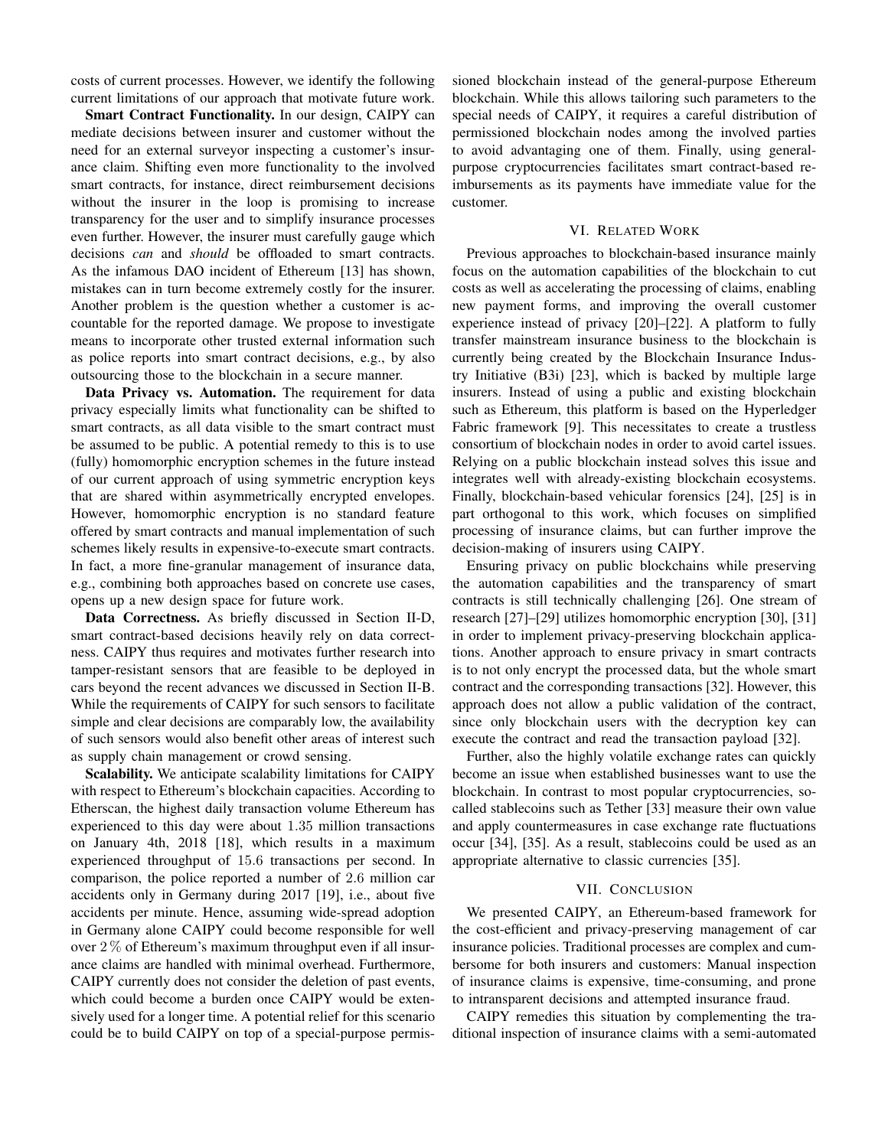costs of current processes. However, we identify the following current limitations of our approach that motivate future work.

Smart Contract Functionality. In our design, CAIPY can mediate decisions between insurer and customer without the need for an external surveyor inspecting a customer's insurance claim. Shifting even more functionality to the involved smart contracts, for instance, direct reimbursement decisions without the insurer in the loop is promising to increase transparency for the user and to simplify insurance processes even further. However, the insurer must carefully gauge which decisions *can* and *should* be offloaded to smart contracts. As the infamous DAO incident of Ethereum [13] has shown, mistakes can in turn become extremely costly for the insurer. Another problem is the question whether a customer is accountable for the reported damage. We propose to investigate means to incorporate other trusted external information such as police reports into smart contract decisions, e.g., by also outsourcing those to the blockchain in a secure manner.

Data Privacy vs. Automation. The requirement for data privacy especially limits what functionality can be shifted to smart contracts, as all data visible to the smart contract must be assumed to be public. A potential remedy to this is to use (fully) homomorphic encryption schemes in the future instead of our current approach of using symmetric encryption keys that are shared within asymmetrically encrypted envelopes. However, homomorphic encryption is no standard feature offered by smart contracts and manual implementation of such schemes likely results in expensive-to-execute smart contracts. In fact, a more fine-granular management of insurance data, e.g., combining both approaches based on concrete use cases, opens up a new design space for future work.

Data Correctness. As briefly discussed in Section II-D, smart contract-based decisions heavily rely on data correctness. CAIPY thus requires and motivates further research into tamper-resistant sensors that are feasible to be deployed in cars beyond the recent advances we discussed in Section II-B. While the requirements of CAIPY for such sensors to facilitate simple and clear decisions are comparably low, the availability of such sensors would also benefit other areas of interest such as supply chain management or crowd sensing.

Scalability. We anticipate scalability limitations for CAIPY with respect to Ethereum's blockchain capacities. According to Etherscan, the highest daily transaction volume Ethereum has experienced to this day were about 1.35 million transactions on January 4th, 2018 [18], which results in a maximum experienced throughput of 15.6 transactions per second. In comparison, the police reported a number of 2.6 million car accidents only in Germany during 2017 [19], i.e., about five accidents per minute. Hence, assuming wide-spread adoption in Germany alone CAIPY could become responsible for well over  $2\%$  of Ethereum's maximum throughput even if all insurance claims are handled with minimal overhead. Furthermore, CAIPY currently does not consider the deletion of past events, which could become a burden once CAIPY would be extensively used for a longer time. A potential relief for this scenario could be to build CAIPY on top of a special-purpose permissioned blockchain instead of the general-purpose Ethereum blockchain. While this allows tailoring such parameters to the special needs of CAIPY, it requires a careful distribution of permissioned blockchain nodes among the involved parties to avoid advantaging one of them. Finally, using generalpurpose cryptocurrencies facilitates smart contract-based reimbursements as its payments have immediate value for the customer.

# VI. RELATED WORK

Previous approaches to blockchain-based insurance mainly focus on the automation capabilities of the blockchain to cut costs as well as accelerating the processing of claims, enabling new payment forms, and improving the overall customer experience instead of privacy [20]–[22]. A platform to fully transfer mainstream insurance business to the blockchain is currently being created by the Blockchain Insurance Industry Initiative (B3i) [23], which is backed by multiple large insurers. Instead of using a public and existing blockchain such as Ethereum, this platform is based on the Hyperledger Fabric framework [9]. This necessitates to create a trustless consortium of blockchain nodes in order to avoid cartel issues. Relying on a public blockchain instead solves this issue and integrates well with already-existing blockchain ecosystems. Finally, blockchain-based vehicular forensics [24], [25] is in part orthogonal to this work, which focuses on simplified processing of insurance claims, but can further improve the decision-making of insurers using CAIPY.

Ensuring privacy on public blockchains while preserving the automation capabilities and the transparency of smart contracts is still technically challenging [26]. One stream of research [27]–[29] utilizes homomorphic encryption [30], [31] in order to implement privacy-preserving blockchain applications. Another approach to ensure privacy in smart contracts is to not only encrypt the processed data, but the whole smart contract and the corresponding transactions [32]. However, this approach does not allow a public validation of the contract, since only blockchain users with the decryption key can execute the contract and read the transaction payload [32].

Further, also the highly volatile exchange rates can quickly become an issue when established businesses want to use the blockchain. In contrast to most popular cryptocurrencies, socalled stablecoins such as Tether [33] measure their own value and apply countermeasures in case exchange rate fluctuations occur [34], [35]. As a result, stablecoins could be used as an appropriate alternative to classic currencies [35].

#### VII. CONCLUSION

We presented CAIPY, an Ethereum-based framework for the cost-efficient and privacy-preserving management of car insurance policies. Traditional processes are complex and cumbersome for both insurers and customers: Manual inspection of insurance claims is expensive, time-consuming, and prone to intransparent decisions and attempted insurance fraud.

CAIPY remedies this situation by complementing the traditional inspection of insurance claims with a semi-automated